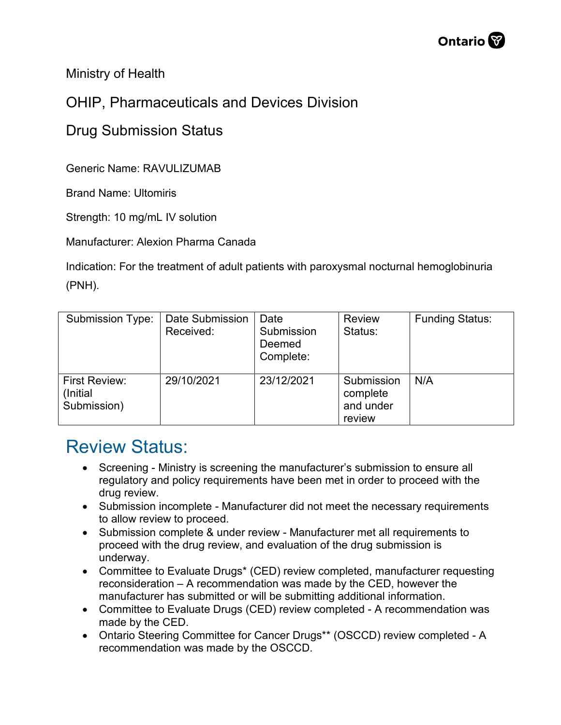

Ministry of Health

## OHIP, Pharmaceuticals and Devices Division

## Drug Submission Status

Generic Name: RAVULIZUMAB

Brand Name: Ultomiris

Strength: 10 mg/mL IV solution

Manufacturer: Alexion Pharma Canada

Indication: For the treatment of adult patients with paroxysmal nocturnal hemoglobinuria (PNH).

| <b>Submission Type:</b>                  | <b>Date Submission</b><br>Received: | Date<br>Submission<br>Deemed<br>Complete: | <b>Review</b><br>Status:                      | <b>Funding Status:</b> |
|------------------------------------------|-------------------------------------|-------------------------------------------|-----------------------------------------------|------------------------|
| First Review:<br>(Initial<br>Submission) | 29/10/2021                          | 23/12/2021                                | Submission<br>complete<br>and under<br>review | N/A                    |

## Review Status:

- Screening Ministry is screening the manufacturer's submission to ensure all regulatory and policy requirements have been met in order to proceed with the drug review.
- Submission incomplete Manufacturer did not meet the necessary requirements to allow review to proceed.
- Submission complete & under review Manufacturer met all requirements to proceed with the drug review, and evaluation of the drug submission is underway.
- Committee to Evaluate Drugs\* (CED) review completed, manufacturer requesting reconsideration – A recommendation was made by the CED, however the manufacturer has submitted or will be submitting additional information.
- Committee to Evaluate Drugs (CED) review completed A recommendation was made by the CED.
- Ontario Steering Committee for Cancer Drugs\*\* (OSCCD) review completed A recommendation was made by the OSCCD.